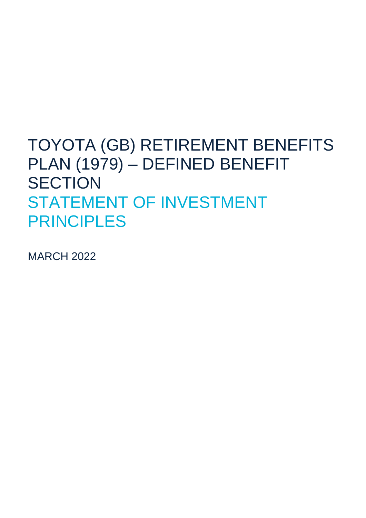## TOYOTA (GB) RETIREMENT BENEFITS PLAN (1979) – DEFINED BENEFIT **SECTION** STATEMENT OF INVESTMENT PRINCIPLES

MARCH 2022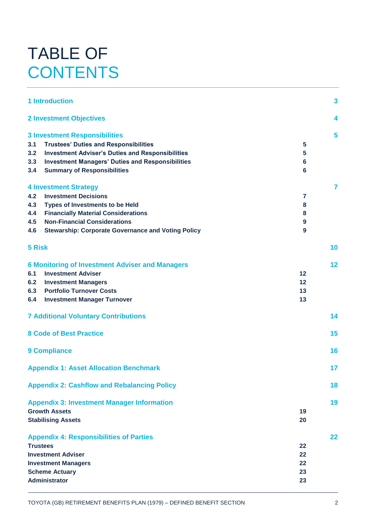# TABLE OF **CONTENTS**

|                                               | <b>1 Introduction</b>                                     |                  | 3  |
|-----------------------------------------------|-----------------------------------------------------------|------------------|----|
|                                               | <b>2 Investment Objectives</b>                            |                  | 4  |
|                                               | <b>3 Investment Responsibilities</b>                      |                  | 5  |
| 3.1                                           | <b>Trustees' Duties and Responsibilities</b>              | 5                |    |
| 3.2                                           | <b>Investment Adviser's Duties and Responsibilities</b>   | 5                |    |
| 3.3                                           | <b>Investment Managers' Duties and Responsibilities</b>   | $6\phantom{1}6$  |    |
| 3.4                                           | <b>Summary of Responsibilities</b>                        | $6\phantom{1}$   |    |
|                                               | <b>4 Investment Strategy</b>                              |                  | 7  |
| 4.2                                           | <b>Investment Decisions</b>                               | 7                |    |
| 4.3                                           | <b>Types of Investments to be Held</b>                    | 8                |    |
| 4.4                                           | <b>Financially Material Considerations</b>                | 8                |    |
| 4.5                                           | <b>Non-Financial Considerations</b>                       | $\boldsymbol{9}$ |    |
| 4.6                                           | <b>Stewarship: Corporate Governance and Voting Policy</b> | 9                |    |
| 5 Risk                                        |                                                           |                  | 10 |
|                                               | <b>6 Monitoring of Investment Adviser and Managers</b>    |                  | 12 |
| 6.1                                           | <b>Investment Adviser</b>                                 | 12               |    |
| 6.2                                           | <b>Investment Managers</b>                                | 12               |    |
| 6.3                                           | <b>Portfolio Turnover Costs</b>                           | 13               |    |
| 6.4                                           | <b>Investment Manager Turnover</b>                        | 13               |    |
|                                               | <b>7 Additional Voluntary Contributions</b>               |                  | 14 |
|                                               | <b>8 Code of Best Practice</b>                            |                  | 15 |
| <b>9 Compliance</b>                           |                                                           |                  | 16 |
| <b>Appendix 1: Asset Allocation Benchmark</b> |                                                           |                  | 17 |
|                                               | <b>Appendix 2: Cashflow and Rebalancing Policy</b>        |                  | 18 |
|                                               | <b>Appendix 3: Investment Manager Information</b>         |                  | 19 |
|                                               | <b>Growth Assets</b>                                      | 19               |    |
|                                               | <b>Stabilising Assets</b>                                 | 20               |    |
|                                               | <b>Appendix 4: Responsibilities of Parties</b>            |                  | 22 |
|                                               | <b>Trustees</b>                                           | 22               |    |
|                                               | <b>Investment Adviser</b>                                 | 22               |    |
|                                               | <b>Investment Managers</b>                                | 22               |    |
|                                               | <b>Scheme Actuary</b>                                     | 23               |    |
|                                               | <b>Administrator</b>                                      | 23               |    |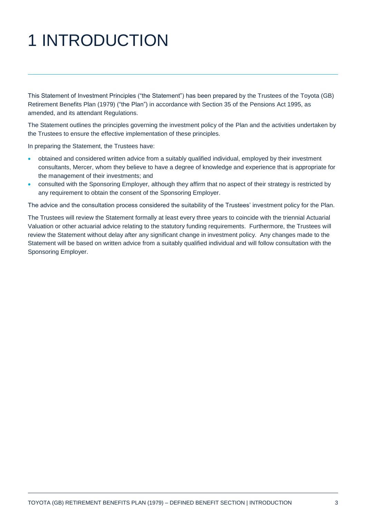# 1 INTRODUCTION

This Statement of Investment Principles ("the Statement") has been prepared by the Trustees of the Toyota (GB) Retirement Benefits Plan (1979) ("the Plan") in accordance with Section 35 of the Pensions Act 1995, as amended, and its attendant Regulations.

The Statement outlines the principles governing the investment policy of the Plan and the activities undertaken by the Trustees to ensure the effective implementation of these principles.

In preparing the Statement, the Trustees have:

- obtained and considered written advice from a suitably qualified individual, employed by their investment consultants, Mercer, whom they believe to have a degree of knowledge and experience that is appropriate for the management of their investments; and
- consulted with the Sponsoring Employer, although they affirm that no aspect of their strategy is restricted by any requirement to obtain the consent of the Sponsoring Employer.

The advice and the consultation process considered the suitability of the Trustees' investment policy for the Plan.

The Trustees will review the Statement formally at least every three years to coincide with the triennial Actuarial Valuation or other actuarial advice relating to the statutory funding requirements. Furthermore, the Trustees will review the Statement without delay after any significant change in investment policy. Any changes made to the Statement will be based on written advice from a suitably qualified individual and will follow consultation with the Sponsoring Employer.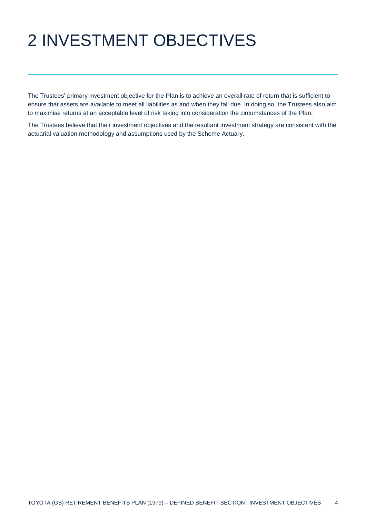# 2 INVESTMENT OBJECTIVES

The Trustees' primary investment objective for the Plan is to achieve an overall rate of return that is sufficient to ensure that assets are available to meet all liabilities as and when they fall due. In doing so, the Trustees also aim to maximise returns at an acceptable level of risk taking into consideration the circumstances of the Plan.

The Trustees believe that their investment objectives and the resultant investment strategy are consistent with the actuarial valuation methodology and assumptions used by the Scheme Actuary.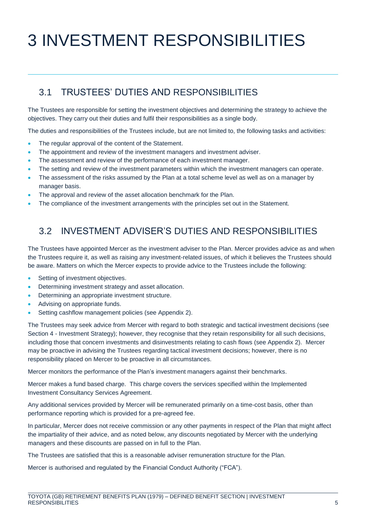# 3 INVESTMENT RESPONSIBILITIES

## 3.1 TRUSTEES' DUTIES AND RESPONSIBILITIES

The Trustees are responsible for setting the investment objectives and determining the strategy to achieve the objectives. They carry out their duties and fulfil their responsibilities as a single body.

The duties and responsibilities of the Trustees include, but are not limited to, the following tasks and activities:

- The regular approval of the content of the Statement.
- The appointment and review of the investment managers and investment adviser.
- The assessment and review of the performance of each investment manager.
- The setting and review of the investment parameters within which the investment managers can operate.
- The assessment of the risks assumed by the Plan at a total scheme level as well as on a manager by manager basis.
- The approval and review of the asset allocation benchmark for the Plan.
- The compliance of the investment arrangements with the principles set out in the Statement.

### 3.2 INVESTMENT ADVISER'S DUTIES AND RESPONSIBILITIES

The Trustees have appointed Mercer as the investment adviser to the Plan. Mercer provides advice as and when the Trustees require it, as well as raising any investment-related issues, of which it believes the Trustees should be aware. Matters on which the Mercer expects to provide advice to the Trustees include the following:

- Setting of investment objectives.
- Determining investment strategy and asset allocation.
- Determining an appropriate investment structure.
- Advising on appropriate funds.
- Setting cashflow management policies (see Appendix 2).

The Trustees may seek advice from Mercer with regard to both strategic and tactical investment decisions (see Section 4 - Investment Strategy); however, they recognise that they retain responsibility for all such decisions, including those that concern investments and disinvestments relating to cash flows (see Appendix 2). Mercer may be proactive in advising the Trustees regarding tactical investment decisions; however, there is no responsibility placed on Mercer to be proactive in all circumstances.

Mercer monitors the performance of the Plan's investment managers against their benchmarks.

Mercer makes a fund based charge. This charge covers the services specified within the Implemented Investment Consultancy Services Agreement.

Any additional services provided by Mercer will be remunerated primarily on a time-cost basis, other than performance reporting which is provided for a pre-agreed fee.

In particular, Mercer does not receive commission or any other payments in respect of the Plan that might affect the impartiality of their advice, and as noted below, any discounts negotiated by Mercer with the underlying managers and these discounts are passed on in full to the Plan.

The Trustees are satisfied that this is a reasonable adviser remuneration structure for the Plan.

Mercer is authorised and regulated by the Financial Conduct Authority ("FCA").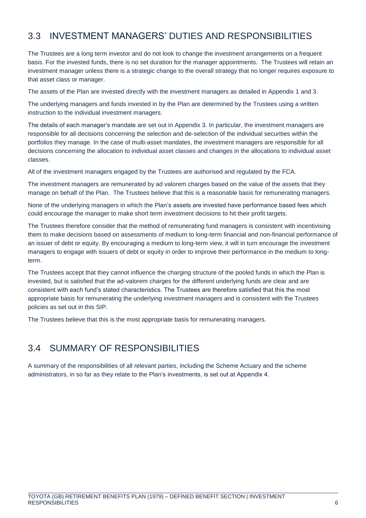## 3.3 INVESTMENT MANAGERS' DUTIES AND RESPONSIBILITIES

The Trustees are a long term investor and do not look to change the investment arrangements on a frequent basis. For the invested funds, there is no set duration for the manager appointments. The Trustees will retain an investment manager unless there is a strategic change to the overall strategy that no longer requires exposure to that asset class or manager.

The assets of the Plan are invested directly with the investment managers as detailed in Appendix 1 and 3.

The underlying managers and funds invested in by the Plan are determined by the Trustees using a written instruction to the individual investment managers.

The details of each manager's mandate are set out in Appendix 3. In particular, the investment managers are responsible for all decisions concerning the selection and de-selection of the individual securities within the portfolios they manage. In the case of multi-asset mandates, the investment managers are responsible for all decisions concerning the allocation to individual asset classes and changes in the allocations to individual asset classes.

All of the investment managers engaged by the Trustees are authorised and regulated by the FCA.

The investment managers are remunerated by ad valorem charges based on the value of the assets that they manage on behalf of the Plan. The Trustees believe that this is a reasonable basis for remunerating managers.

None of the underlying managers in which the Plan's assets are invested have performance based fees which could encourage the manager to make short term investment decisions to hit their profit targets.

The Trustees therefore consider that the method of remunerating fund managers is consistent with incentivising them to make decisions based on assessments of medium to long-term financial and non-financial performance of an issuer of debt or equity. By encouraging a medium to long-term view, it will in turn encourage the investment managers to engage with issuers of debt or equity in order to improve their performance in the medium to longterm.

The Trustees accept that they cannot influence the charging structure of the pooled funds in which the Plan is invested, but is satisfied that the ad-valorem charges for the different underlying funds are clear and are consistent with each fund's stated characteristics. The Trustees are therefore satisfied that this the most appropriate basis for remunerating the underlying investment managers and is consistent with the Trustees policies as set out in this SIP.

The Trustees believe that this is the most appropriate basis for remunerating managers.

## 3.4 SUMMARY OF RESPONSIBILITIES

A summary of the responsibilities of all relevant parties, including the Scheme Actuary and the scheme administrators, in so far as they relate to the Plan's investments, is set out at Appendix 4.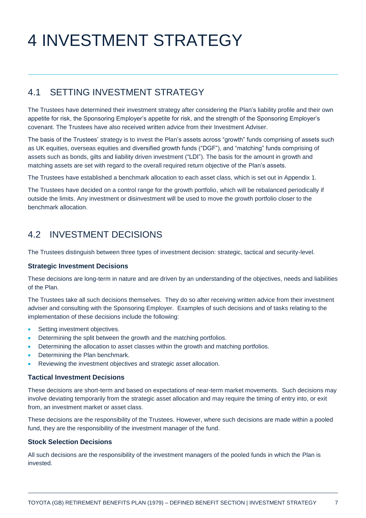# 4 INVESTMENT STRATEGY

## 4.1 SETTING INVESTMENT STRATEGY

The Trustees have determined their investment strategy after considering the Plan's liability profile and their own appetite for risk, the Sponsoring Employer's appetite for risk, and the strength of the Sponsoring Employer's covenant. The Trustees have also received written advice from their Investment Adviser.

The basis of the Trustees' strategy is to invest the Plan's assets across "growth" funds comprising of assets such as UK equities, overseas equities and diversified growth funds ("DGF"), and "matching" funds comprising of assets such as bonds, gilts and liability driven investment ("LDI"). The basis for the amount in growth and matching assets are set with regard to the overall required return objective of the Plan's assets.

The Trustees have established a benchmark allocation to each asset class, which is set out in Appendix 1.

The Trustees have decided on a control range for the growth portfolio, which will be rebalanced periodically if outside the limits. Any investment or disinvestment will be used to move the growth portfolio closer to the benchmark allocation.

## 4.2 INVESTMENT DECISIONS

The Trustees distinguish between three types of investment decision: strategic, tactical and security-level.

#### **Strategic Investment Decisions**

These decisions are long-term in nature and are driven by an understanding of the objectives, needs and liabilities of the Plan.

The Trustees take all such decisions themselves. They do so after receiving written advice from their investment adviser and consulting with the Sponsoring Employer. Examples of such decisions and of tasks relating to the implementation of these decisions include the following:

- Setting investment objectives.
- Determining the split between the growth and the matching portfolios.
- Determining the allocation to asset classes within the growth and matching portfolios.
- Determining the Plan benchmark.
- Reviewing the investment objectives and strategic asset allocation.

#### **Tactical Investment Decisions**

These decisions are short-term and based on expectations of near-term market movements. Such decisions may involve deviating temporarily from the strategic asset allocation and may require the timing of entry into, or exit from, an investment market or asset class.

These decisions are the responsibility of the Trustees. However, where such decisions are made within a pooled fund, they are the responsibility of the investment manager of the fund.

#### **Stock Selection Decisions**

All such decisions are the responsibility of the investment managers of the pooled funds in which the Plan is invested.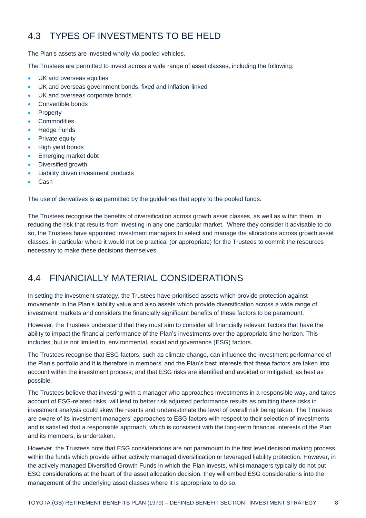## 4.3 TYPES OF INVESTMENTS TO BE HELD

The Plan's assets are invested wholly via pooled vehicles.

The Trustees are permitted to invest across a wide range of asset classes, including the following:

- UK and overseas equities
- UK and overseas government bonds, fixed and inflation-linked
- UK and overseas corporate bonds
- Convertible bonds
- Property
- **•** Commodities
- Hedge Funds
- Private equity
- High yield bonds
- **Emerging market debt**
- Diversified growth
- Liability driven investment products
- Cash

The use of derivatives is as permitted by the guidelines that apply to the pooled funds.

The Trustees recognise the benefits of diversification across growth asset classes, as well as within them, in reducing the risk that results from investing in any one particular market. Where they consider it advisable to do so, the Trustees have appointed investment managers to select and manage the allocations across growth asset classes, in particular where it would not be practical (or appropriate) for the Trustees to commit the resources necessary to make these decisions themselves.

## 4.4 FINANCIALLY MATERIAL CONSIDERATIONS

In setting the investment strategy, the Trustees have prioritised assets which provide protection against movements in the Plan's liability value and also assets which provide diversification across a wide range of investment markets and considers the financially significant benefits of these factors to be paramount.

However, the Trustees understand that they must aim to consider all financially relevant factors that have the ability to impact the financial performance of the Plan's investments over the appropriate time horizon. This includes, but is not limited to, environmental, social and governance (ESG) factors.

The Trustees recognise that ESG factors, such as climate change, can influence the investment performance of the Plan's portfolio and it is therefore in members' and the Plan's best interests that these factors are taken into account within the investment process; and that ESG risks are identified and avoided or mitigated, as best as possible.

The Trustees believe that investing with a manager who approaches investments in a responsible way, and takes account of ESG-related risks, will lead to better risk adjusted performance results as omitting these risks in investment analysis could skew the results and underestimate the level of overall risk being taken. The Trustees are aware of its investment managers' approaches to ESG factors with respect to their selection of investments and is satisfied that a responsible approach, which is consistent with the long-term financial interests of the Plan and its members, is undertaken.

However, the Trustees note that ESG considerations are not paramount to the first level decision making process within the funds which provide either actively managed diversification or leveraged liability protection. However, in the actively managed Diversified Growth Funds in which the Plan invests, whilst managers typically do not put ESG considerations at the heart of the asset allocation decision, they will embed ESG considerations into the management of the underlying asset classes where it is appropriate to do so.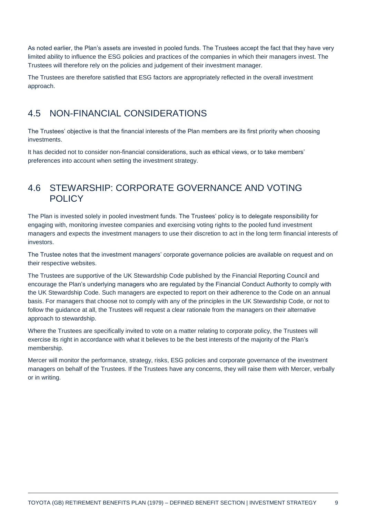As noted earlier, the Plan's assets are invested in pooled funds. The Trustees accept the fact that they have very limited ability to influence the ESG policies and practices of the companies in which their managers invest. The Trustees will therefore rely on the policies and judgement of their investment manager.

The Trustees are therefore satisfied that ESG factors are appropriately reflected in the overall investment approach.

### 4.5 NON-FINANCIAL CONSIDERATIONS

The Trustees' objective is that the financial interests of the Plan members are its first priority when choosing investments.

It has decided not to consider non-financial considerations, such as ethical views, or to take members' preferences into account when setting the investment strategy.

### 4.6 STEWARSHIP: CORPORATE GOVERNANCE AND VOTING **POLICY**

The Plan is invested solely in pooled investment funds. The Trustees' policy is to delegate responsibility for engaging with, monitoring investee companies and exercising voting rights to the pooled fund investment managers and expects the investment managers to use their discretion to act in the long term financial interests of investors.

The Trustee notes that the investment managers' corporate governance policies are available on request and on their respective websites.

The Trustees are supportive of the UK Stewardship Code published by the Financial Reporting Council and encourage the Plan's underlying managers who are regulated by the Financial Conduct Authority to comply with the UK Stewardship Code. Such managers are expected to report on their adherence to the Code on an annual basis. For managers that choose not to comply with any of the principles in the UK Stewardship Code, or not to follow the guidance at all, the Trustees will request a clear rationale from the managers on their alternative approach to stewardship.

Where the Trustees are specifically invited to vote on a matter relating to corporate policy, the Trustees will exercise its right in accordance with what it believes to be the best interests of the majority of the Plan's membership.

Mercer will monitor the performance, strategy, risks, ESG policies and corporate governance of the investment managers on behalf of the Trustees. If the Trustees have any concerns, they will raise them with Mercer, verbally or in writing.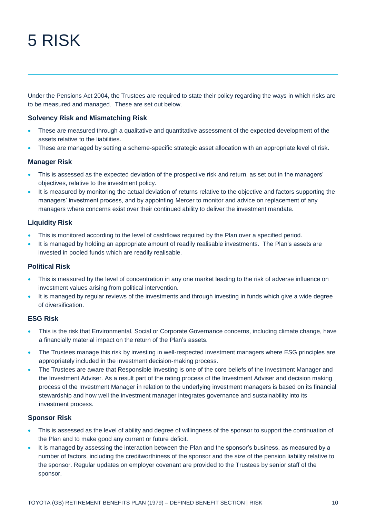# 5 RISK

Under the Pensions Act 2004, the Trustees are required to state their policy regarding the ways in which risks are to be measured and managed. These are set out below.

#### **Solvency Risk and Mismatching Risk**

- These are measured through a qualitative and quantitative assessment of the expected development of the assets relative to the liabilities.
- These are managed by setting a scheme-specific strategic asset allocation with an appropriate level of risk.

#### **Manager Risk**

- This is assessed as the expected deviation of the prospective risk and return, as set out in the managers' objectives, relative to the investment policy.
- It is measured by monitoring the actual deviation of returns relative to the objective and factors supporting the managers' investment process, and by appointing Mercer to monitor and advice on replacement of any managers where concerns exist over their continued ability to deliver the investment mandate.

#### **Liquidity Risk**

- This is monitored according to the level of cashflows required by the Plan over a specified period.
- It is managed by holding an appropriate amount of readily realisable investments. The Plan's assets are invested in pooled funds which are readily realisable.

#### **Political Risk**

- This is measured by the level of concentration in any one market leading to the risk of adverse influence on investment values arising from political intervention.
- It is managed by regular reviews of the investments and through investing in funds which give a wide degree of diversification.

#### **ESG Risk**

- This is the risk that Environmental, Social or Corporate Governance concerns, including climate change, have a financially material impact on the return of the Plan's assets.
- The Trustees manage this risk by investing in well-respected investment managers where ESG principles are appropriately included in the investment decision-making process.
- The Trustees are aware that Responsible Investing is one of the core beliefs of the Investment Manager and the Investment Adviser. As a result part of the rating process of the Investment Adviser and decision making process of the Investment Manager in relation to the underlying investment managers is based on its financial stewardship and how well the investment manager integrates governance and sustainability into its investment process.

#### **Sponsor Risk**

- This is assessed as the level of ability and degree of willingness of the sponsor to support the continuation of the Plan and to make good any current or future deficit.
- It is managed by assessing the interaction between the Plan and the sponsor's business, as measured by a number of factors, including the creditworthiness of the sponsor and the size of the pension liability relative to the sponsor. Regular updates on employer covenant are provided to the Trustees by senior staff of the sponsor.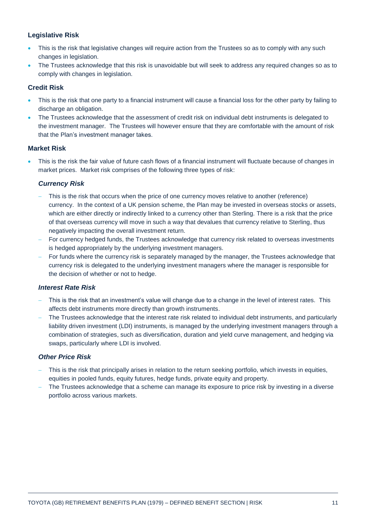#### **Legislative Risk**

- This is the risk that legislative changes will require action from the Trustees so as to comply with any such changes in legislation.
- The Trustees acknowledge that this risk is unavoidable but will seek to address any required changes so as to comply with changes in legislation.

#### **Credit Risk**

- This is the risk that one party to a financial instrument will cause a financial loss for the other party by failing to discharge an obligation.
- The Trustees acknowledge that the assessment of credit risk on individual debt instruments is delegated to the investment manager. The Trustees will however ensure that they are comfortable with the amount of risk that the Plan's investment manager takes.

#### **Market Risk**

 This is the risk the fair value of future cash flows of a financial instrument will fluctuate because of changes in market prices. Market risk comprises of the following three types of risk:

#### *Currency Risk*

- This is the risk that occurs when the price of one currency moves relative to another (reference) currency. In the context of a UK pension scheme, the Plan may be invested in overseas stocks or assets, which are either directly or indirectly linked to a currency other than Sterling. There is a risk that the price of that overseas currency will move in such a way that devalues that currency relative to Sterling, thus negatively impacting the overall investment return.
- For currency hedged funds, the Trustees acknowledge that currency risk related to overseas investments is hedged appropriately by the underlying investment managers.
- For funds where the currency risk is separately managed by the manager, the Trustees acknowledge that currency risk is delegated to the underlying investment managers where the manager is responsible for the decision of whether or not to hedge.

#### *Interest Rate Risk*

- This is the risk that an investment's value will change due to a change in the level of interest rates. This affects debt instruments more directly than growth instruments.
- The Trustees acknowledge that the interest rate risk related to individual debt instruments, and particularly liability driven investment (LDI) instruments, is managed by the underlying investment managers through a combination of strategies, such as diversification, duration and yield curve management, and hedging via swaps, particularly where LDI is involved.

#### *Other Price Risk*

- This is the risk that principally arises in relation to the return seeking portfolio, which invests in equities, equities in pooled funds, equity futures, hedge funds, private equity and property.
- The Trustees acknowledge that a scheme can manage its exposure to price risk by investing in a diverse portfolio across various markets.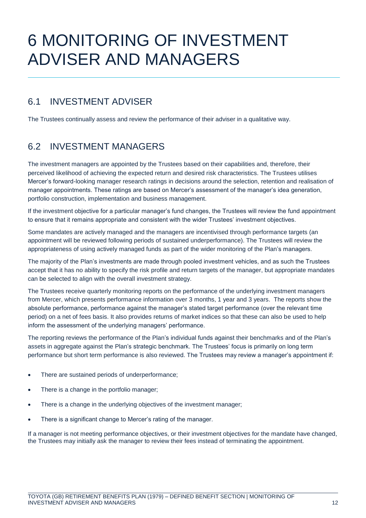# 6 MONITORING OF INVESTMENT ADVISER AND MANAGERS

### 6.1 INVESTMENT ADVISER

The Trustees continually assess and review the performance of their adviser in a qualitative way.

## 6.2 INVESTMENT MANAGERS

The investment managers are appointed by the Trustees based on their capabilities and, therefore, their perceived likelihood of achieving the expected return and desired risk characteristics. The Trustees utilises Mercer's forward-looking manager research ratings in decisions around the selection, retention and realisation of manager appointments. These ratings are based on Mercer's assessment of the manager's idea generation, portfolio construction, implementation and business management.

If the investment objective for a particular manager's fund changes, the Trustees will review the fund appointment to ensure that it remains appropriate and consistent with the wider Trustees' investment objectives.

Some mandates are actively managed and the managers are incentivised through performance targets (an appointment will be reviewed following periods of sustained underperformance). The Trustees will review the appropriateness of using actively managed funds as part of the wider monitoring of the Plan's managers.

The majority of the Plan's investments are made through pooled investment vehicles, and as such the Trustees accept that it has no ability to specify the risk profile and return targets of the manager, but appropriate mandates can be selected to align with the overall investment strategy.

The Trustees receive quarterly monitoring reports on the performance of the underlying investment managers from Mercer, which presents performance information over 3 months, 1 year and 3 years. The reports show the absolute performance, performance against the manager's stated target performance (over the relevant time period) on a net of fees basis. It also provides returns of market indices so that these can also be used to help inform the assessment of the underlying managers' performance.

The reporting reviews the performance of the Plan's individual funds against their benchmarks and of the Plan's assets in aggregate against the Plan's strategic benchmark. The Trustees' focus is primarily on long term performance but short term performance is also reviewed. The Trustees may review a manager's appointment if:

- There are sustained periods of underperformance;
- There is a change in the portfolio manager;
- There is a change in the underlying objectives of the investment manager;
- There is a significant change to Mercer's rating of the manager.

If a manager is not meeting performance objectives, or their investment objectives for the mandate have changed, the Trustees may initially ask the manager to review their fees instead of terminating the appointment.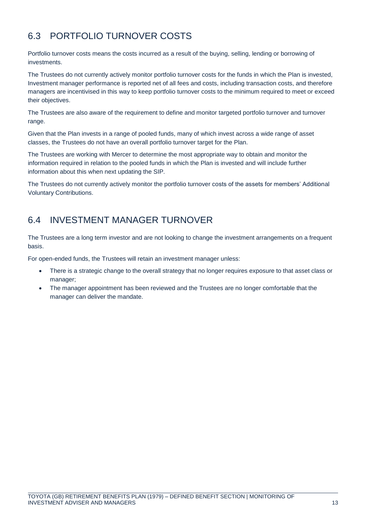## 6.3 PORTFOLIO TURNOVER COSTS

Portfolio turnover costs means the costs incurred as a result of the buying, selling, lending or borrowing of investments.

The Trustees do not currently actively monitor portfolio turnover costs for the funds in which the Plan is invested, Investment manager performance is reported net of all fees and costs, including transaction costs, and therefore managers are incentivised in this way to keep portfolio turnover costs to the minimum required to meet or exceed their objectives.

The Trustees are also aware of the requirement to define and monitor targeted portfolio turnover and turnover range.

Given that the Plan invests in a range of pooled funds, many of which invest across a wide range of asset classes, the Trustees do not have an overall portfolio turnover target for the Plan.

The Trustees are working with Mercer to determine the most appropriate way to obtain and monitor the information required in relation to the pooled funds in which the Plan is invested and will include further information about this when next updating the SIP.

The Trustees do not currently actively monitor the portfolio turnover costs of the assets for members' Additional Voluntary Contributions.

## 6.4 INVESTMENT MANAGER TURNOVER

The Trustees are a long term investor and are not looking to change the investment arrangements on a frequent basis.

For open-ended funds, the Trustees will retain an investment manager unless:

- There is a strategic change to the overall strategy that no longer requires exposure to that asset class or manager;
- The manager appointment has been reviewed and the Trustees are no longer comfortable that the manager can deliver the mandate.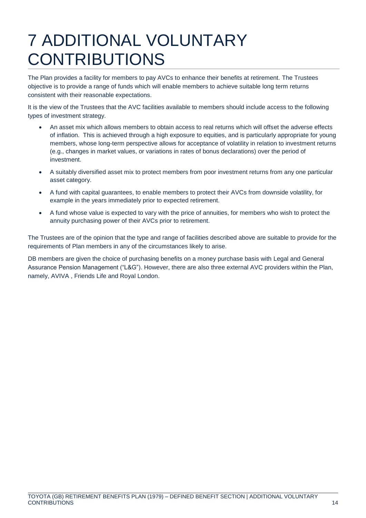# 7 ADDITIONAL VOLUNTARY CONTRIBUTIONS

The Plan provides a facility for members to pay AVCs to enhance their benefits at retirement. The Trustees objective is to provide a range of funds which will enable members to achieve suitable long term returns consistent with their reasonable expectations.

It is the view of the Trustees that the AVC facilities available to members should include access to the following types of investment strategy.

- An asset mix which allows members to obtain access to real returns which will offset the adverse effects of inflation. This is achieved through a high exposure to equities, and is particularly appropriate for young members, whose long-term perspective allows for acceptance of volatility in relation to investment returns (e.g., changes in market values, or variations in rates of bonus declarations) over the period of investment.
- A suitably diversified asset mix to protect members from poor investment returns from any one particular asset category.
- A fund with capital guarantees, to enable members to protect their AVCs from downside volatility, for example in the years immediately prior to expected retirement.
- A fund whose value is expected to vary with the price of annuities, for members who wish to protect the annuity purchasing power of their AVCs prior to retirement.

The Trustees are of the opinion that the type and range of facilities described above are suitable to provide for the requirements of Plan members in any of the circumstances likely to arise.

DB members are given the choice of purchasing benefits on a money purchase basis with Legal and General Assurance Pension Management ("L&G"). However, there are also three external AVC providers within the Plan, namely, AVIVA , Friends Life and Royal London.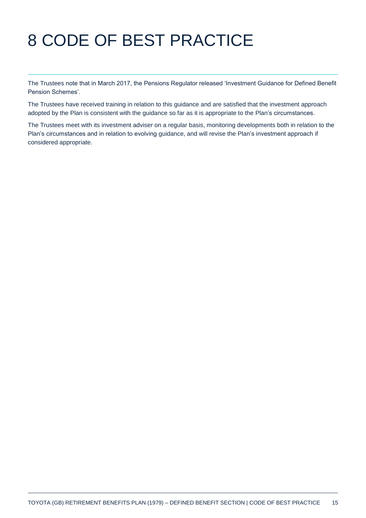# 8 CODE OF BEST PRACTICE

The Trustees note that in March 2017, the Pensions Regulator released 'Investment Guidance for Defined Benefit Pension Schemes'.

The Trustees have received training in relation to this guidance and are satisfied that the investment approach adopted by the Plan is consistent with the guidance so far as it is appropriate to the Plan's circumstances.

The Trustees meet with its investment adviser on a regular basis, monitoring developments both in relation to the Plan's circumstances and in relation to evolving guidance, and will revise the Plan's investment approach if considered appropriate.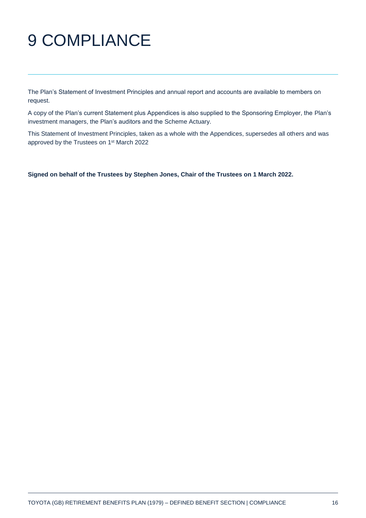# 9 COMPLIANCE

The Plan's Statement of Investment Principles and annual report and accounts are available to members on request.

A copy of the Plan's current Statement plus Appendices is also supplied to the Sponsoring Employer, the Plan's investment managers, the Plan's auditors and the Scheme Actuary.

This Statement of Investment Principles, taken as a whole with the Appendices, supersedes all others and was approved by the Trustees on 1<sup>st</sup> March 2022

**Signed on behalf of the Trustees by Stephen Jones, Chair of the Trustees on 1 March 2022.**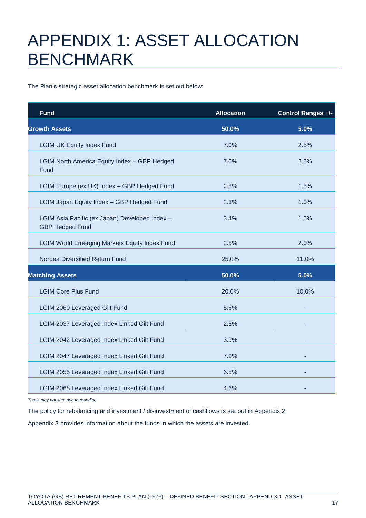# APPENDIX 1: ASSET ALLOCATION BENCHMARK

The Plan's strategic asset allocation benchmark is set out below:

| <b>Fund</b>                                                              | <b>Allocation</b> | Control Ranges +/- |
|--------------------------------------------------------------------------|-------------------|--------------------|
| <b>Growth Assets</b>                                                     | 50.0%             | 5.0%               |
| <b>LGIM UK Equity Index Fund</b>                                         | 7.0%              | 2.5%               |
| <b>LGIM North America Equity Index - GBP Hedged</b><br>Fund              | 7.0%              | 2.5%               |
| LGIM Europe (ex UK) Index - GBP Hedged Fund                              | 2.8%              | 1.5%               |
| LGIM Japan Equity Index - GBP Hedged Fund                                | 2.3%              | 1.0%               |
| LGIM Asia Pacific (ex Japan) Developed Index -<br><b>GBP Hedged Fund</b> | 3.4%              | 1.5%               |
| <b>LGIM World Emerging Markets Equity Index Fund</b>                     | 2.5%              | 2.0%               |
| Nordea Diversified Return Fund                                           | 25.0%             | 11.0%              |
| <b>Matching Assets</b>                                                   | 50.0%             | 5.0%               |
| <b>LGIM Core Plus Fund</b>                                               | 20.0%             | 10.0%              |
| <b>LGIM 2060 Leveraged Gilt Fund</b>                                     | 5.6%              |                    |
| LGIM 2037 Leveraged Index Linked Gilt Fund                               | 2.5%              |                    |
| LGIM 2042 Leveraged Index Linked Gilt Fund                               | 3.9%              |                    |
| LGIM 2047 Leveraged Index Linked Gilt Fund                               | 7.0%              |                    |
| LGIM 2055 Leveraged Index Linked Gilt Fund                               | 6.5%              |                    |
| LGIM 2068 Leveraged Index Linked Gilt Fund                               | 4.6%              |                    |

*Totals may not sum due to rounding*

The policy for rebalancing and investment / disinvestment of cashflows is set out in Appendix 2.

Appendix 3 provides information about the funds in which the assets are invested.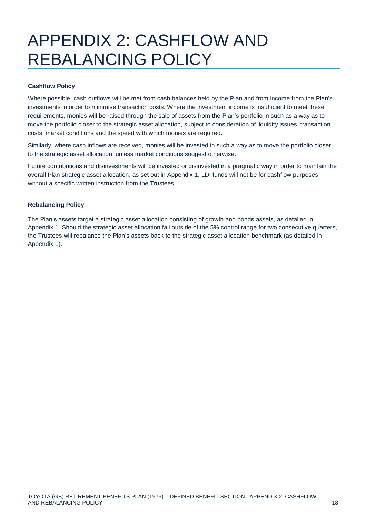## APPENDIX 2: CASHFLOW AND REBALANCING POLICY

#### **Cashflow Policy**

Where possible, cash outflows will be met from cash balances held by the Plan and from income from the Plan's investments in order to minimise transaction costs. Where the investment income is insufficient to meet these requirements, monies will be raised through the sale of assets from the Plan's portfolio in such as a way as to move the portfolio closer to the strategic asset allocation, subject to consideration of liquidity issues, transaction costs, market conditions and the speed with which monies are required.

Similarly, where cash inflows are received, monies will be invested in such a way as to move the portfolio closer to the strategic asset allocation, unless market conditions suggest otherwise.

Future contributions and disinvestments will be invested or disinvested in a pragmatic way in order to maintain the overall Plan strategic asset allocation, as set out in Appendix 1. LDI funds will not be for cashflow purposes without a specific written instruction from the Trustees.

#### **Rebalancing Policy**

The Plan's assets target a strategic asset allocation consisting of growth and bonds assets, as detailed in Appendix 1. Should the strategic asset allocation fall outside of the 5% control range for two consecutive quarters, the Trustees will rebalance the Plan's assets back to the strategic asset allocation benchmark (as detailed in Appendix 1).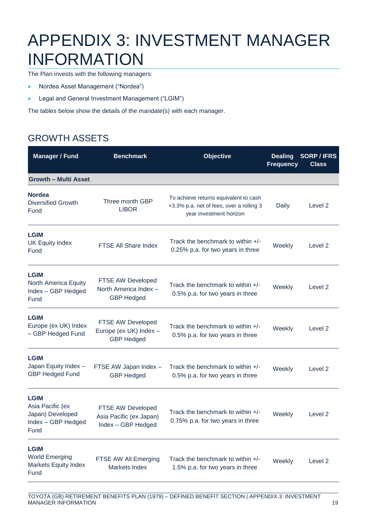## APPENDIX 3: INVESTMENT MANAGER INFORMATION

The Plan invests with the following managers:

- Nordea Asset Management ("Nordea")
- Legal and General Investment Management ("LGIM")

The tables below show the details of the mandate(s) with each manager.

## GROWTH ASSETS

| <b>Manager / Fund</b>                                                             | <b>Benchmark</b>                                                   | <b>Objective</b>                                                                                             | <b>Dealing</b><br><b>Frequency</b> | <b>SORP/IFRS</b><br><b>Class</b> |
|-----------------------------------------------------------------------------------|--------------------------------------------------------------------|--------------------------------------------------------------------------------------------------------------|------------------------------------|----------------------------------|
| <b>Growth - Multi Asset</b>                                                       |                                                                    |                                                                                                              |                                    |                                  |
| <b>Nordea</b><br><b>Diversified Growth</b><br>Fund                                | Three month GBP<br><b>LIBOR</b>                                    | To achieve returns equivalent to cash<br>+3.3% p.a. net of fees, over a rolling 3<br>year investment horizon | Daily                              | Level 2                          |
| <b>LGIM</b><br><b>UK Equity Index</b><br>Fund                                     | FTSE All Share Index                                               | Track the benchmark to within $+/-$<br>0.25% p.a. for two years in three                                     | Weekly                             | Level <sub>2</sub>               |
| <b>LGIM</b><br>North America Equity<br>Index - GBP Hedged<br>Fund                 | FTSE AW Developed<br>North America Index -<br><b>GBP Hedged</b>    | Track the benchmark to within $+/-$<br>0.5% p.a. for two years in three                                      | Weekly                             | Level 2                          |
| <b>LGIM</b><br>Europe (ex UK) Index<br>- GBP Hedged Fund                          | FTSE AW Developed<br>Europe (ex UK) Index -<br><b>GBP Hedged</b>   | Track the benchmark to within +/-<br>0.5% p.a. for two years in three                                        | Weekly                             | Level 2                          |
| <b>LGIM</b><br>Japan Equity Index -<br><b>GBP Hedged Fund</b>                     | FTSE AW Japan Index -<br><b>GBP Hedged</b>                         | Track the benchmark to within +/-<br>0.5% p.a. for two years in three                                        | Weekly                             | Level 2                          |
| <b>LGIM</b><br>Asia Pacific (ex<br>Japan) Developed<br>Index - GBP Hedged<br>Fund | FTSE AW Developed<br>Asia Pacific (ex Japan)<br>Index - GBP Hedged | Track the benchmark to within +/-<br>0.75% p.a. for two years in three                                       | Weekly                             | Level <sub>2</sub>               |
| <b>LGIM</b><br><b>World Emerging</b><br><b>Markets Equity Index</b><br>Fund       | FTSE AW All Emerging<br>Markets Index                              | Track the benchmark to within +/-<br>1.5% p.a. for two years in three                                        | Weekly                             | Level <sub>2</sub>               |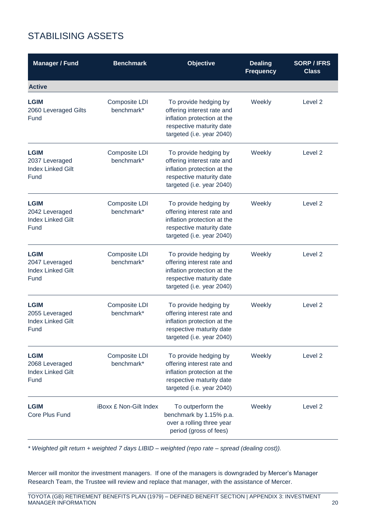## STABILISING ASSETS

| <b>Manager / Fund</b>                                             | <b>Benchmark</b>              | Objective                                                                                                                                   | <b>Dealing</b><br><b>Frequency</b> | <b>SORP/IFRS</b><br><b>Class</b> |
|-------------------------------------------------------------------|-------------------------------|---------------------------------------------------------------------------------------------------------------------------------------------|------------------------------------|----------------------------------|
| <b>Active</b>                                                     |                               |                                                                                                                                             |                                    |                                  |
| <b>LGIM</b><br>2060 Leveraged Gilts<br>Fund                       | Composite LDI<br>benchmark*   | To provide hedging by<br>offering interest rate and<br>inflation protection at the<br>respective maturity date<br>targeted (i.e. year 2040) | Weekly                             | Level 2                          |
| <b>LGIM</b><br>2037 Leveraged<br><b>Index Linked Gilt</b><br>Fund | Composite LDI<br>benchmark*   | To provide hedging by<br>offering interest rate and<br>inflation protection at the<br>respective maturity date<br>targeted (i.e. year 2040) | Weekly                             | Level <sub>2</sub>               |
| <b>LGIM</b><br>2042 Leveraged<br><b>Index Linked Gilt</b><br>Fund | Composite LDI<br>benchmark*   | To provide hedging by<br>offering interest rate and<br>inflation protection at the<br>respective maturity date<br>targeted (i.e. year 2040) | Weekly                             | Level <sub>2</sub>               |
| <b>LGIM</b><br>2047 Leveraged<br><b>Index Linked Gilt</b><br>Fund | Composite LDI<br>benchmark*   | To provide hedging by<br>offering interest rate and<br>inflation protection at the<br>respective maturity date<br>targeted (i.e. year 2040) | Weekly                             | Level <sub>2</sub>               |
| <b>LGIM</b><br>2055 Leveraged<br><b>Index Linked Gilt</b><br>Fund | Composite LDI<br>benchmark*   | To provide hedging by<br>offering interest rate and<br>inflation protection at the<br>respective maturity date<br>targeted (i.e. year 2040) | Weekly                             | Level <sub>2</sub>               |
| <b>LGIM</b><br>2068 Leveraged<br><b>Index Linked Gilt</b><br>Fund | Composite LDI<br>benchmark*   | To provide hedging by<br>offering interest rate and<br>inflation protection at the<br>respective maturity date<br>targeted (i.e. year 2040) | Weekly                             | Level <sub>2</sub>               |
| <b>LGIM</b><br>Core Plus Fund                                     | <b>iBoxx £ Non-Gilt Index</b> | To outperform the<br>benchmark by 1.15% p.a.<br>over a rolling three year<br>period (gross of fees)                                         | Weekly                             | Level <sub>2</sub>               |

*\* Weighted gilt return + weighted 7 days LIBID – weighted (repo rate – spread (dealing cost)).*

Mercer will monitor the investment managers. If one of the managers is downgraded by Mercer's Manager Research Team, the Trustee will review and replace that manager, with the assistance of Mercer.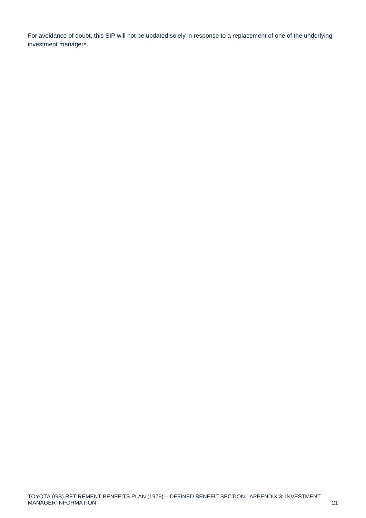For avoidance of doubt, this SIP will not be updated solely in response to a replacement of one of the underlying investment managers.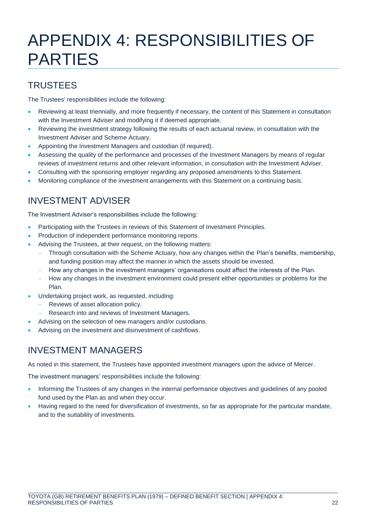## APPENDIX 4: RESPONSIBILITIES OF PARTIES

## **TRUSTEES**

The Trustees' responsibilities include the following:

- Reviewing at least triennially, and more frequently if necessary, the content of this Statement in consultation with the Investment Adviser and modifying it if deemed appropriate.
- Reviewing the investment strategy following the results of each actuarial review, in consultation with the Investment Adviser and Scheme Actuary.
- Appointing the Investment Managers and custodian (if required).
- Assessing the quality of the performance and processes of the Investment Managers by means of regular reviews of investment returns and other relevant information, in consultation with the Investment Adviser.
- Consulting with the sponsoring employer regarding any proposed amendments to this Statement.
- Monitoring compliance of the investment arrangements with this Statement on a continuing basis.

## INVESTMENT ADVISER

The Investment Adviser's responsibilities include the following:

- Participating with the Trustees in reviews of this Statement of Investment Principles.
- Production of independent performance monitoring reports.
- Advising the Trustees, at their request, on the following matters:
	- Through consultation with the Scheme Actuary, how any changes within the Plan's benefits, membership, and funding position may affect the manner in which the assets should be invested.
	- How any changes in the investment managers' organisations could affect the interests of the Plan.
	- How any changes in the investment environment could present either opportunities or problems for the Plan.
- Undertaking project work, as requested, including:
	- Reviews of asset allocation policy.
	- Research into and reviews of Investment Managers.
	- Advising on the selection of new managers and/or custodians.
- Advising on the investment and disinvestment of cashflows.

## INVESTMENT MANAGERS

As noted in this statement, the Trustees have appointed investment managers upon the advice of Mercer.

The investment managers' responsibilities include the following:

- Informing the Trustees of any changes in the internal performance objectives and guidelines of any pooled fund used by the Plan as and when they occur.
- Having regard to the need for diversification of investments, so far as appropriate for the particular mandate, and to the suitability of investments.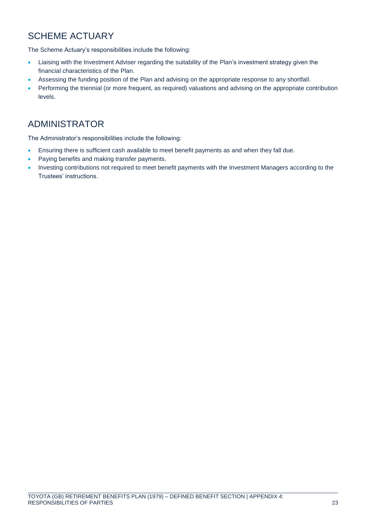## SCHEME ACTUARY

The Scheme Actuary's responsibilities include the following:

- Liaising with the Investment Adviser regarding the suitability of the Plan's investment strategy given the financial characteristics of the Plan.
- Assessing the funding position of the Plan and advising on the appropriate response to any shortfall.
- Performing the triennial (or more frequent, as required) valuations and advising on the appropriate contribution levels.

## ADMINISTRATOR

The Administrator's responsibilities include the following:

- Ensuring there is sufficient cash available to meet benefit payments as and when they fall due.
- Paying benefits and making transfer payments.
- Investing contributions not required to meet benefit payments with the Investment Managers according to the Trustees' instructions.